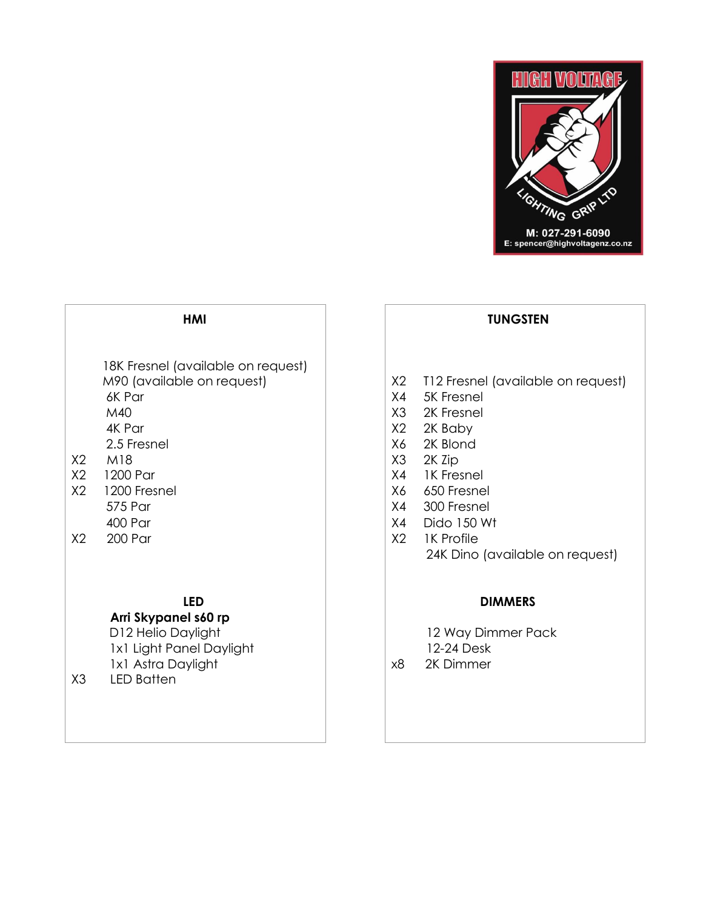

### **HMI**

18K Fresnel (available on request)<br>M90 (available on request) 6K Par X4 5K Fresnel M40 X3 2K Fresnel 4K Par X2 2K Baby 2.5 Fresnel X2 M18 X2 1200 Par X4 1K Fresnel

- X2 1200 Fresnel X2 1200 Fresnel
- 

# **LED**

# **Arri Skypanel s60 rp**

D12 Helio Daylight 12 Way Dimmer Pack 1x1 Light Panel Daylight 1x1 Astra Daylight

X3 LED Batten

# **TUNGSTEN**

- X2 T12 Fresnel (available on request)
- 
- 
- 
- X6 2K Blond
- X3 2K Zip
- 
- 
- 575 Par X4 300 Fresnel
- 400 Par  $\vert$  X4 Dido 150 Wt
- X2 200 Par X2 1K Profile 24K Dino (available on request)

### **DIMMERS**

12-24 Desk

x8 2K Dimmer